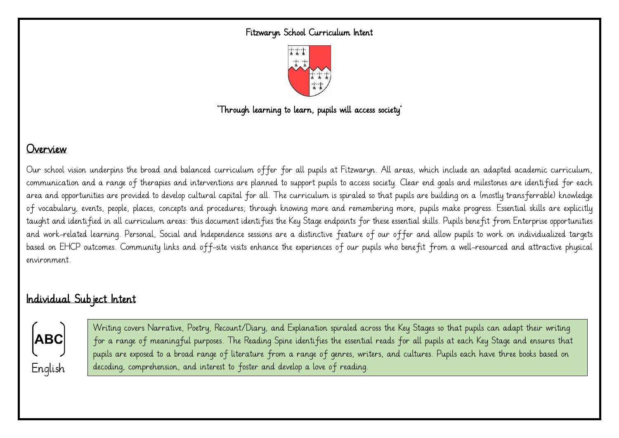#### Fitzwaryn School Curriculum Intent



'Through learning to learn, pupils will access society'

### Overview

Our school vision underpins the broad and balanced curriculum offer for all pupils at Fitzwaryn. All areas, which include an adapted academic curriculum, communication and a range of therapies and interventions are planned to support pupils to access society. Clear end goals and milestones are identified for each area and opportunities are provided to develop cultural capital for all. The curriculum is spiraled so that pupils are building on a (mostly transferrable) knowledge of vocabulary, events, people, places, concepts and procedures; through knowing more and remembering more, pupils make progress. Essential skills are explicitly taught and identified in all curriculum areas: this document identifies the Key Stage endpoints for these essential skills. Pupils benefit from Enterprise opportunities and work-related learning. Personal, Social and Independence sessions are a distinctive feature of our offer and allow pupils to work on individualized targets based on EHCP outcomes. Community links and off-site visits enhance the experiences of our pupils who benefit from a well-resourced and attractive physical environment.

### Individual Subject Intent



Writing covers Narrative, Poetry, Recount/Diary, and Explanation spiraled across the Key Stages so that pupils can adapt their writing for a range of meaningful purposes. The Reading Spine identifies the essential reads for all pupils at each Key Stage and ensures that pupils are exposed to a broad range of literature from a range of genres, writers, and cultures. Pupils each have three books based on decoding, comprehension, and interest to foster and develop a love of reading.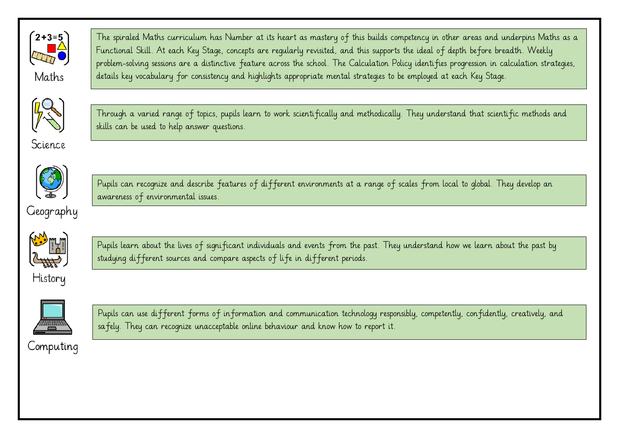

Maths

The spiraled Maths curriculum has Number at its heart as mastery of this builds competency in other areas and underpins Maths as a Functional Skill. At each Key Stage, concepts are regularly revisited, and this supports the ideal of depth before breadth. Weekly problem-solving sessions are a distinctive feature across the school. The Calculation Policy identifies progression in calculation strategies, details key vocabulary for consistency and highlights appropriate mental strategies to be employed at each Key Stage.



Science

Through a varied range of topics, pupils learn to work scientifically and methodically. They understand that scientific methods and skills can be used to help answer questions.



Geography

Pupils can recognize and describe features of different environments at a range of scales from local to global. They develop an awareness of environmental issues.



History

Pupils learn about the lives of significant individuals and events from the past. They understand how we learn about the past by studying different sources and compare aspects of life in different periods.



Pupils can use different forms of information and communication technology responsibly, competently, confidently, creatively, and safely. They can recognize unacceptable online behaviour and know how to report it.

Computing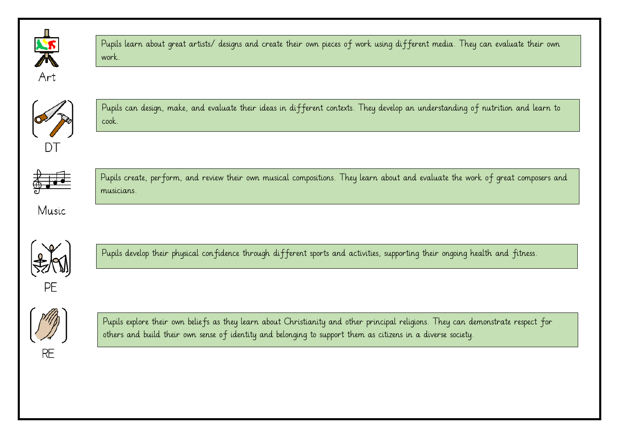

Pupils learn about great artists/ designs and create their own pieces of work using different media. They can evaluate their own work.



Pupils can design, make, and evaluate their ideas in different contexts. They develop an understanding of nutrition and learn to cook.



Pupils create, perform, and review their own musical compositions. They learn about and evaluate the work of great composers and musicians.

Music



Pupils develop their physical confidence through different sports and activities, supporting their ongoing health and fitness.



Pupils explore their own beliefs as they learn about Christianity and other principal religions. They can demonstrate respect for others and build their own sense of identity and belonging to support them as citizens in a diverse society.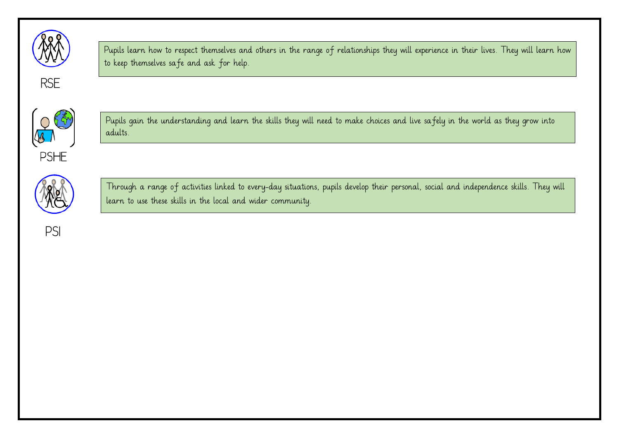

**RSE** 

Pupils learn how to respect themselves and others in the range of relationships they will experience in their lives. They will learn how to keep themselves safe and ask for help.



Pupils gain the understanding and learn the skills they will need to make choices and live safely in the world as they grow into adults.



Through a range of activities linked to every-day situations, pupils develop their personal, social and independence skills. They will learn to use these skills in the local and wider community.

PSI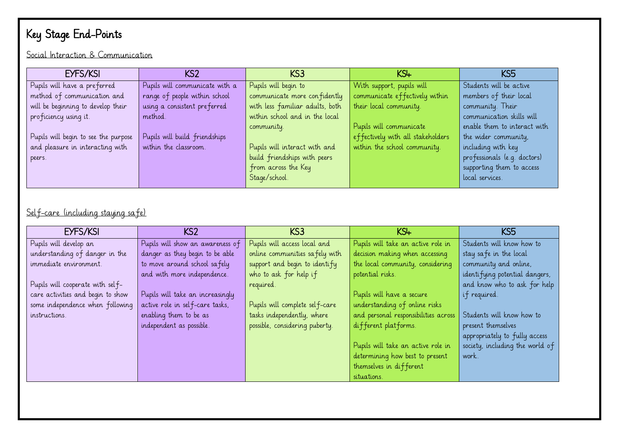# Key Stage End-Points

Social Interaction & Communication

| EYFS/KSI                             | KS <sub>2</sub>                | KS <sub>3</sub>                 | $KS+$                             | KS5                          |
|--------------------------------------|--------------------------------|---------------------------------|-----------------------------------|------------------------------|
| Pupils will have a preferred         | Pupils will communicate with a | Pupils will begin to            | With support, pupils will         | Students will be active      |
| method of communication and          | range of people within school  | communicate more confidently    | communicate effectively within    | members of their local       |
| will be beginning to develop their   | using a consistent preferred   | with less familiar adults, both | their local community.            | community. Their             |
| proficiency using it.                | method.                        | within school and in the local  |                                   | communication skills will    |
|                                      |                                | community.                      | Pupils will communicate           | enable them to interact with |
| Pupils will begin to see the purpose | Pupils will build friendships  |                                 | effectively with all stakeholders | the wider community,         |
| and pleasure in interacting with     | within the classroom.          | Pupils will interact with and   | within the school community.      | including with key           |
| peers.                               |                                | build friendships with peers    |                                   | professionals (e.g. doctors) |
|                                      |                                | from across the Key             |                                   | supporting them to access    |
|                                      |                                | Stage/school.                   |                                   | local services.              |

Self-care (including staying safe)

| EYFS/KSI                          | KS <sub>2</sub>                  | KS <sub>3</sub>                | KSL                                  | KS <sub>5</sub>                 |
|-----------------------------------|----------------------------------|--------------------------------|--------------------------------------|---------------------------------|
| Pupils will develop an            | Pupils will show an awareness of | Pupils will access local and   | Pupils will take an active role in   | Students will know how to       |
| understanding of danger in the    | danger as they begin to be able  | online communities safely with | decision making when accessing       | stay safe in the local          |
| immediate environment.            | to move around school safely     | support and begin to identify  | the local community, considering     | community and online,           |
|                                   | and with more independence.      | who to ask for help if         | potential risks.                     | identifying potential dangers,  |
| Pupils will cooperate with self-  |                                  | required.                      |                                      | and know who to ask for help    |
| care activities and begin to show | Pupils will take an increasingly |                                | Pupils will have a secure            | if required.                    |
| some independence when following  | active role in self-care tasks,  | Pupils will complete self-care | understanding of online risks        |                                 |
| instructions.                     | enabling them to be as           | tasks independently, where     | and personal responsibilities across | Students will know how to       |
|                                   | independent as possible.         | possible, considering puberty. | different platforms.                 | present themselves              |
|                                   |                                  |                                |                                      | appropriately to fully access   |
|                                   |                                  |                                | Pupils will take an active role in   | society, including the world of |
|                                   |                                  |                                | determining how best to present      | work.                           |
|                                   |                                  |                                | themselves in different              |                                 |
|                                   |                                  |                                | situations.                          |                                 |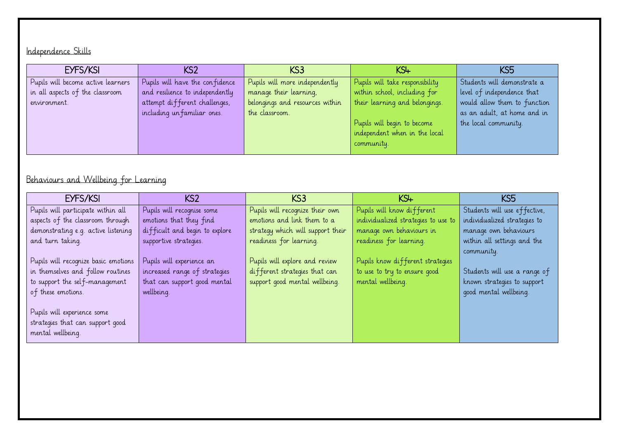## Independence Skills

| EYFS/KSI                           | KS2                             | KS3                             | KS4                             | KS5                          |
|------------------------------------|---------------------------------|---------------------------------|---------------------------------|------------------------------|
| Pupils will become active learners | Pupils will have the confidence | Pupils will more independently  | Pupils will take responsibility | Students will demonstrate a  |
| in all aspects of the classroom    | and resilience to independently | manage their learning,          | within school, including for    | level of independence that   |
| environment.                       | attempt different challenges,   | belongings and resources within | their learning and belongings.  | would allow them to function |
|                                    | including un familiar ones.     | the classroom.                  |                                 | as an adult, at home and in  |
|                                    |                                 |                                 | Pupils will begin to become     | the local community.         |
|                                    |                                 |                                 | independent when in the local   |                              |
|                                    |                                 |                                 | community.                      |                              |
|                                    |                                 |                                 |                                 |                              |

# Behaviours and Wellbeing for Learning

| EYFS/KSI                             | KS <sub>2</sub>                | KS3                               | KSH                                 | KS5                          |
|--------------------------------------|--------------------------------|-----------------------------------|-------------------------------------|------------------------------|
| Pupils will participate within all   | Pupils will recognise some     | Pupils will recognize their own   | Pupils will know different          | Students will use effective, |
| aspects of the classroom through     | emotions that they find        | emotions and link them to a       | individualized strategies to use to | individualized strategies to |
| demonstrating e.g. active listening  | difficult and begin to explore | strategy which will support their | manage own behaviours in            | manage own behaviours        |
| and turn taking.                     | supportive strategies.         | readiness for learning.           | readiness for learning.             | within all settings and the  |
|                                      |                                |                                   |                                     | community.                   |
| Pupils will recognize basic emotions | Pupils will experience an      | Pupils will explore and review    | Pupils know different strategies    |                              |
| in themselves and follow routines    | increased range of strategies  | different strategies that can     | to use to try to ensure good        | Students will use a range of |
| to support the self-management       | that can support good mental   | support good mental wellbeing.    | mental wellbeing.                   | known strategies to support  |
| of these emotions.                   | wellbeing.                     |                                   |                                     | good mental wellbeing.       |
|                                      |                                |                                   |                                     |                              |
| Pupils will experience some          |                                |                                   |                                     |                              |
| strategies that can support good     |                                |                                   |                                     |                              |
| mental wellbeing.                    |                                |                                   |                                     |                              |